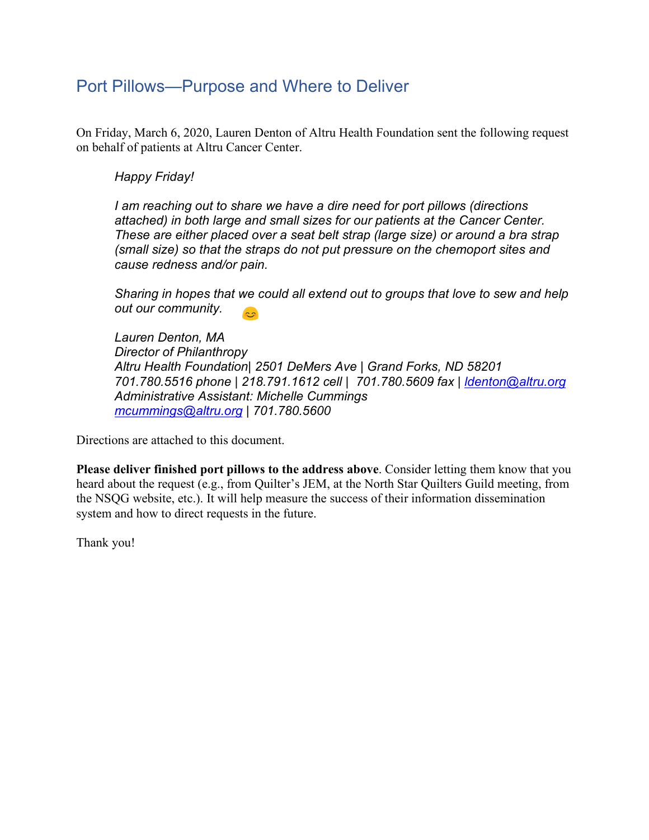# Port Pillows—Purpose and Where to Deliver

On Friday, March 6, 2020, Lauren Denton of Altru Health Foundation sent the following request on behalf of patients at Altru Cancer Center.

### *Happy Friday!*

*I am reaching out to share we have a dire need for port pillows (directions attached) in both large and small sizes for our patients at the Cancer Center. These are either placed over a seat belt strap (large size) or around a bra strap (small size) so that the straps do not put pressure on the chemoport sites and cause redness and/or pain.*

*Sharing in hopes that we could all extend out to groups that love to sew and help out our community.*  $\mathbb{R}^2$ 

*Lauren Denton, MA Director of Philanthropy Altru Health Foundation| 2501 DeMers Ave | Grand Forks, ND 58201 701.780.5516 phone | 218.791.1612 cell | 701.780.5609 fax | [ldenton@altru.org](mailto:ldenton@altru.org) Administrative Assistant: Michelle Cummings [mcummings@altru.org](mailto:mcummings@altru.org) | 701.780.5600*

Directions are attached to this document.

**Please deliver finished port pillows to the address above**. Consider letting them know that you heard about the request (e.g., from Quilter's JEM, at the North Star Quilters Guild meeting, from the NSQG website, etc.). It will help measure the success of their information dissemination system and how to direct requests in the future.

Thank you!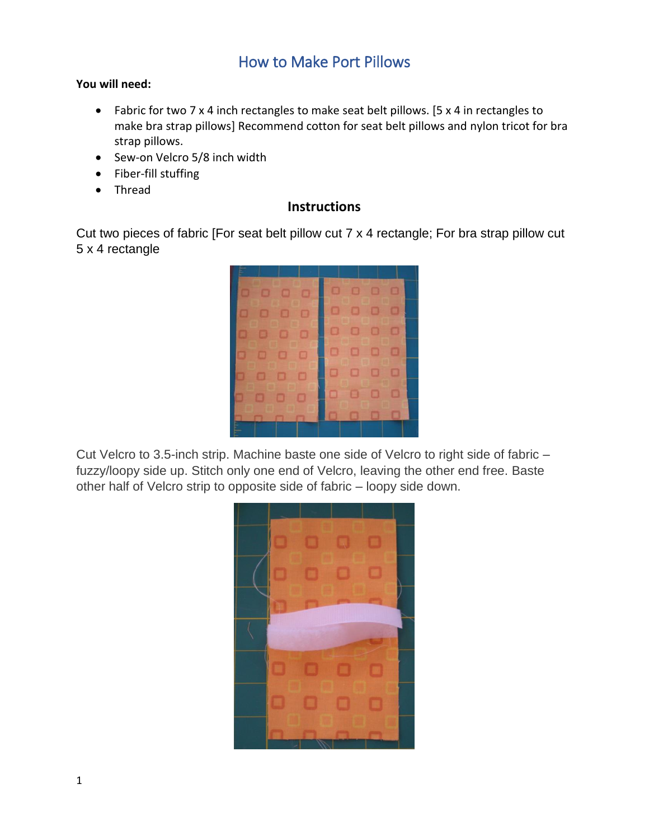### How to Make Port Pillows

#### **You will need:**

- Fabric for two 7 x 4 inch rectangles to make seat belt pillows. [5 x 4 in rectangles to make bra strap pillows] Recommend cotton for seat belt pillows and nylon tricot for bra strap pillows.
- Sew-on Velcro 5/8 inch width
- Fiber-fill stuffing
- Thread

#### **Instructions**

Cut two pieces of fabric [For seat belt pillow cut 7 x 4 rectangle; For bra strap pillow cut 5 x 4 rectangle



Cut Velcro to 3.5-inch strip. Machine baste one side of Velcro to right side of fabric – fuzzy/loopy side up. Stitch only one end of Velcro, leaving the other end free. Baste other half of Velcro strip to opposite side of fabric – loopy side down.